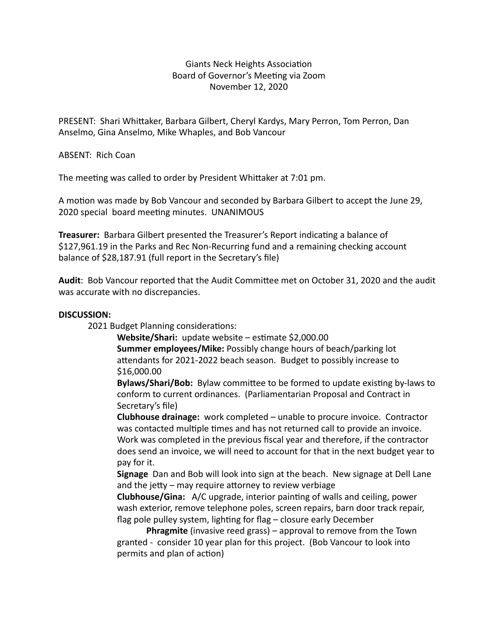## Giants Neck Heights Association Board of Governor's Meeting via Zoom November 12, 2020

PRESENT: Shari Whittaker, Barbara Gilbert, Cheryl Kardys, Mary Perron, Tom Perron, Dan Anselmo, Gina Anselmo, Mike Whaples, and Bob Vancour

ABSENT: Rich Coan

The meeting was called to order by President Whittaker at 7:01 pm.

A motion was made by Bob Vancour and seconded by Barbara Gilbert to accept the June 29, 2020 special board meeting minutes. UNANIMOUS

**Treasurer:** Barbara Gilbert presented the Treasurer's Report indicating a balance of \$127,961.19 in the Parks and Rec Non-Recurring fund and a remaining checking account balance of \$28,187.91 (full report in the Secretary's file)

Audit: Bob Vancour reported that the Audit Committee met on October 31, 2020 and the audit was accurate with no discrepancies.

## **DISCUSSION:**

2021 Budget Planning considerations:

**Website/Shari:** update website – estimate \$2,000.00 **Summer employees/Mike:** Possibly change hours of beach/parking lot attendants for 2021-2022 beach season. Budget to possibly increase to \$16,000.00 

**Bylaws/Shari/Bob:** Bylaw committee to be formed to update existing by-laws to conform to current ordinances. (Parliamentarian Proposal and Contract in Secretary's file)

**Clubhouse drainage:** work completed – unable to procure invoice. Contractor was contacted multiple times and has not returned call to provide an invoice. Work was completed in the previous fiscal year and therefore, if the contractor does send an invoice, we will need to account for that in the next budget year to pay for it. 

**Signage** Dan and Bob will look into sign at the beach. New signage at Dell Lane and the jetty  $-$  may require attorney to review verbiage

**Clubhouse/Gina:** A/C upgrade, interior painting of walls and ceiling, power wash exterior, remove telephone poles, screen repairs, barn door track repair, flag pole pulley system, lighting for flag  $-$  closure early December

**Phragmite** (invasive reed grass) – approval to remove from the Town granted - consider 10 year plan for this project. (Bob Vancour to look into permits and plan of action)